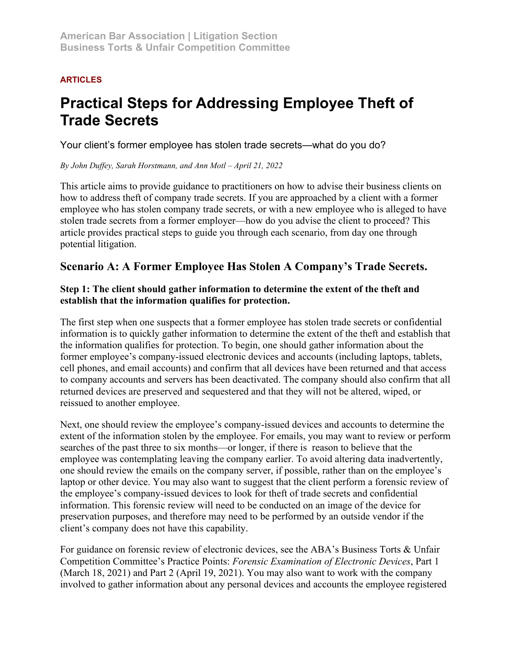### **ARTICLES**

# **Practical Steps for Addressing Employee Theft of Trade Secrets**

Your client's former employee has stolen trade secrets—what do you do?

### *By John Duffey, Sarah Horstmann, and Ann Motl – April 21, 2022*

This article aims to provide guidance to practitioners on how to advise their business clients on how to address theft of company trade secrets. If you are approached by a client with a former employee who has stolen company trade secrets, or with a new employee who is alleged to have stolen trade secrets from a former employer—how do you advise the client to proceed? This article provides practical steps to guide you through each scenario, from day one through potential litigation.

# **Scenario A: A Former Employee Has Stolen A Company's Trade Secrets.**

### **Step 1: The client should gather information to determine the extent of the theft and establish that the information qualifies for protection.**

The first step when one suspects that a former employee has stolen trade secrets or confidential information is to quickly gather information to determine the extent of the theft and establish that the information qualifies for protection. To begin, one should gather information about the former employee's company-issued electronic devices and accounts (including laptops, tablets, cell phones, and email accounts) and confirm that all devices have been returned and that access to company accounts and servers has been deactivated. The company should also confirm that all returned devices are preserved and sequestered and that they will not be altered, wiped, or reissued to another employee.

Next, one should review the employee's company-issued devices and accounts to determine the extent of the information stolen by the employee. For emails, you may want to review or perform searches of the past three to six months—or longer, if there is reason to believe that the employee was contemplating leaving the company earlier. To avoid altering data inadvertently, one should review the emails on the company server, if possible, rather than on the employee's laptop or other device. You may also want to suggest that the client perform a forensic review of the employee's company-issued devices to look for theft of trade secrets and confidential information. This forensic review will need to be conducted on an image of the device for preservation purposes, and therefore may need to be performed by an outside vendor if the client's company does not have this capability.

For guidance on forensic review of electronic devices, see the ABA's Business Torts & Unfair Competition Committee's Practice Points: *Forensic Examination of Electronic Devices*, Part 1 (March 18, 2021) and Part 2 (April 19, 2021). You may also want to work with the company involved to gather information about any personal devices and accounts the employee registered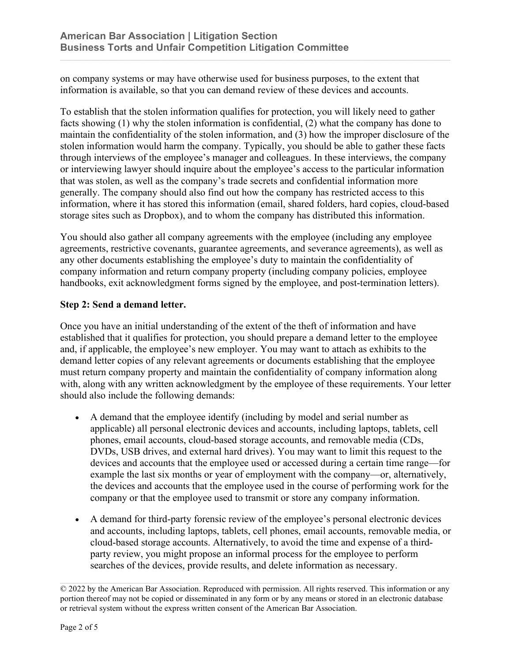on company systems or may have otherwise used for business purposes, to the extent that information is available, so that you can demand review of these devices and accounts.

To establish that the stolen information qualifies for protection, you will likely need to gather facts showing (1) why the stolen information is confidential, (2) what the company has done to maintain the confidentiality of the stolen information, and (3) how the improper disclosure of the stolen information would harm the company. Typically, you should be able to gather these facts through interviews of the employee's manager and colleagues. In these interviews, the company or interviewing lawyer should inquire about the employee's access to the particular information that was stolen, as well as the company's trade secrets and confidential information more generally. The company should also find out how the company has restricted access to this information, where it has stored this information (email, shared folders, hard copies, cloud-based storage sites such as Dropbox), and to whom the company has distributed this information.

You should also gather all company agreements with the employee (including any employee agreements, restrictive covenants, guarantee agreements, and severance agreements), as well as any other documents establishing the employee's duty to maintain the confidentiality of company information and return company property (including company policies, employee handbooks, exit acknowledgment forms signed by the employee, and post-termination letters).

### **Step 2: Send a demand letter.**

Once you have an initial understanding of the extent of the theft of information and have established that it qualifies for protection, you should prepare a demand letter to the employee and, if applicable, the employee's new employer. You may want to attach as exhibits to the demand letter copies of any relevant agreements or documents establishing that the employee must return company property and maintain the confidentiality of company information along with, along with any written acknowledgment by the employee of these requirements. Your letter should also include the following demands:

- A demand that the employee identify (including by model and serial number as applicable) all personal electronic devices and accounts, including laptops, tablets, cell phones, email accounts, cloud-based storage accounts, and removable media (CDs, DVDs, USB drives, and external hard drives). You may want to limit this request to the devices and accounts that the employee used or accessed during a certain time range—for example the last six months or year of employment with the company—or, alternatively, the devices and accounts that the employee used in the course of performing work for the company or that the employee used to transmit or store any company information.
- A demand for third-party forensic review of the employee's personal electronic devices and accounts, including laptops, tablets, cell phones, email accounts, removable media, or cloud-based storage accounts. Alternatively, to avoid the time and expense of a thirdparty review, you might propose an informal process for the employee to perform searches of the devices, provide results, and delete information as necessary.

<sup>© 2022</sup> by the American Bar Association. Reproduced with permission. All rights reserved. This information or any portion thereof may not be copied or disseminated in any form or by any means or stored in an electronic database or retrieval system without the express written consent of the American Bar Association.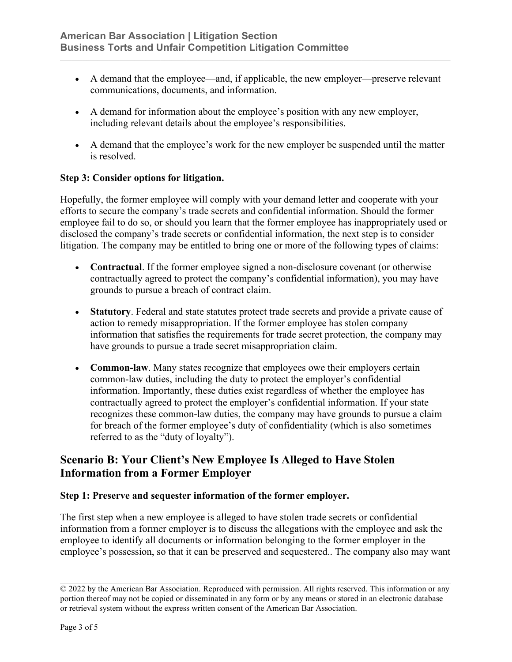- A demand that the employee—and, if applicable, the new employer—preserve relevant communications, documents, and information.
- A demand for information about the employee's position with any new employer, including relevant details about the employee's responsibilities.
- A demand that the employee's work for the new employer be suspended until the matter is resolved.

### **Step 3: Consider options for litigation.**

Hopefully, the former employee will comply with your demand letter and cooperate with your efforts to secure the company's trade secrets and confidential information. Should the former employee fail to do so, or should you learn that the former employee has inappropriately used or disclosed the company's trade secrets or confidential information, the next step is to consider litigation. The company may be entitled to bring one or more of the following types of claims:

- **Contractual**. If the former employee signed a non-disclosure covenant (or otherwise contractually agreed to protect the company's confidential information), you may have grounds to pursue a breach of contract claim.
- **Statutory**. Federal and state statutes protect trade secrets and provide a private cause of action to remedy misappropriation. If the former employee has stolen company information that satisfies the requirements for trade secret protection, the company may have grounds to pursue a trade secret misappropriation claim.
- **Common-law**. Many states recognize that employees owe their employers certain common-law duties, including the duty to protect the employer's confidential information. Importantly, these duties exist regardless of whether the employee has contractually agreed to protect the employer's confidential information. If your state recognizes these common-law duties, the company may have grounds to pursue a claim for breach of the former employee's duty of confidentiality (which is also sometimes referred to as the "duty of loyalty").

# **Scenario B: Your Client's New Employee Is Alleged to Have Stolen Information from a Former Employer**

### **Step 1: Preserve and sequester information of the former employer.**

The first step when a new employee is alleged to have stolen trade secrets or confidential information from a former employer is to discuss the allegations with the employee and ask the employee to identify all documents or information belonging to the former employer in the employee's possession, so that it can be preserved and sequestered.. The company also may want

<sup>© 2022</sup> by the American Bar Association. Reproduced with permission. All rights reserved. This information or any portion thereof may not be copied or disseminated in any form or by any means or stored in an electronic database or retrieval system without the express written consent of the American Bar Association.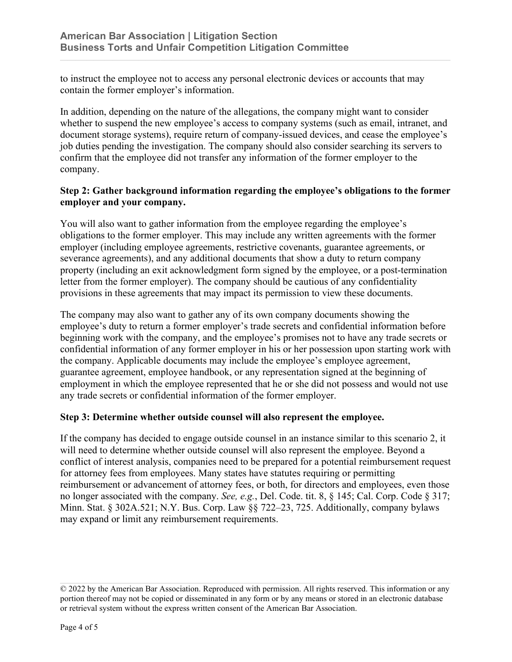to instruct the employee not to access any personal electronic devices or accounts that may contain the former employer's information.

In addition, depending on the nature of the allegations, the company might want to consider whether to suspend the new employee's access to company systems (such as email, intranet, and document storage systems), require return of company-issued devices, and cease the employee's job duties pending the investigation. The company should also consider searching its servers to confirm that the employee did not transfer any information of the former employer to the company.

### **Step 2: Gather background information regarding the employee's obligations to the former employer and your company.**

You will also want to gather information from the employee regarding the employee's obligations to the former employer. This may include any written agreements with the former employer (including employee agreements, restrictive covenants, guarantee agreements, or severance agreements), and any additional documents that show a duty to return company property (including an exit acknowledgment form signed by the employee, or a post-termination letter from the former employer). The company should be cautious of any confidentiality provisions in these agreements that may impact its permission to view these documents.

The company may also want to gather any of its own company documents showing the employee's duty to return a former employer's trade secrets and confidential information before beginning work with the company, and the employee's promises not to have any trade secrets or confidential information of any former employer in his or her possession upon starting work with the company. Applicable documents may include the employee's employee agreement, guarantee agreement, employee handbook, or any representation signed at the beginning of employment in which the employee represented that he or she did not possess and would not use any trade secrets or confidential information of the former employer.

#### **Step 3: Determine whether outside counsel will also represent the employee.**

If the company has decided to engage outside counsel in an instance similar to this scenario 2, it will need to determine whether outside counsel will also represent the employee. Beyond a conflict of interest analysis, companies need to be prepared for a potential reimbursement request for attorney fees from employees. Many states have statutes requiring or permitting reimbursement or advancement of attorney fees, or both, for directors and employees, even those no longer associated with the company. *See, e.g.*, Del. Code. tit. 8, § 145; Cal. Corp. Code § 317; Minn. Stat. § 302A.521; N.Y. Bus. Corp. Law §§ 722–23, 725. Additionally, company bylaws may expand or limit any reimbursement requirements.

<sup>© 2022</sup> by the American Bar Association. Reproduced with permission. All rights reserved. This information or any portion thereof may not be copied or disseminated in any form or by any means or stored in an electronic database or retrieval system without the express written consent of the American Bar Association.